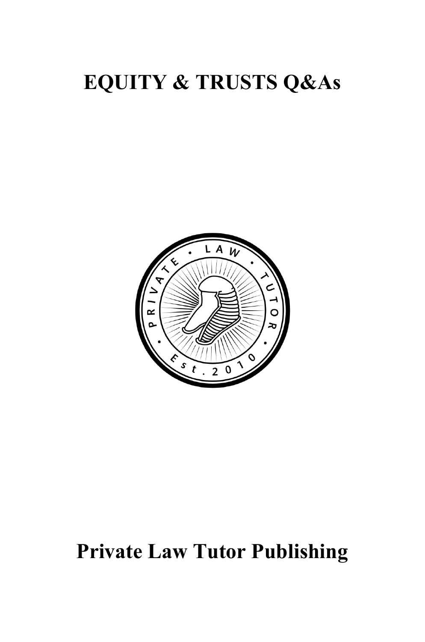# **EQUITY & TRUSTS Q&As**



# **Private Law Tutor Publishing**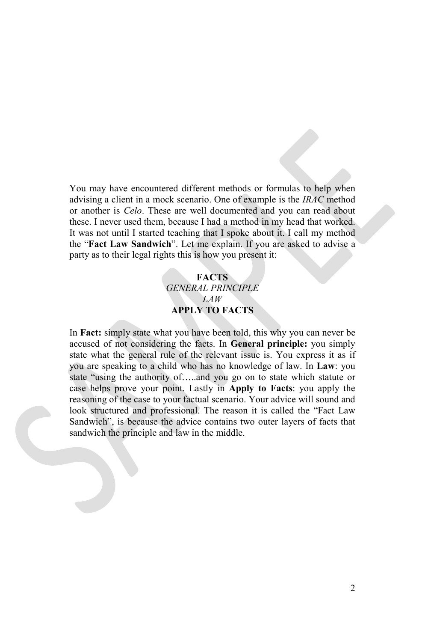You may have encountered different methods or formulas to help when advising a client in a mock scenario. One of example is the *IRAC* method or another is *Celo*. These are well documented and you can read about these. I never used them, because I had a method in my head that worked. It was not until I started teaching that I spoke about it. I call my method the "**Fact Law Sandwich**". Let me explain. If you are asked to advise a party as to their legal rights this is how you present it:

#### **FACTS** *GENERAL PRINCIPLE LAW* **APPLY TO FACTS**

In **Fact:** simply state what you have been told, this why you can never be accused of not considering the facts. In **General principle:** you simply state what the general rule of the relevant issue is. You express it as if you are speaking to a child who has no knowledge of law. In **Law**: you state "using the authority of…..and you go on to state which statute or case helps prove your point. Lastly in **Apply to Facts**: you apply the reasoning of the case to your factual scenario. Your advice will sound and look structured and professional. The reason it is called the "Fact Law Sandwich", is because the advice contains two outer layers of facts that sandwich the principle and law in the middle.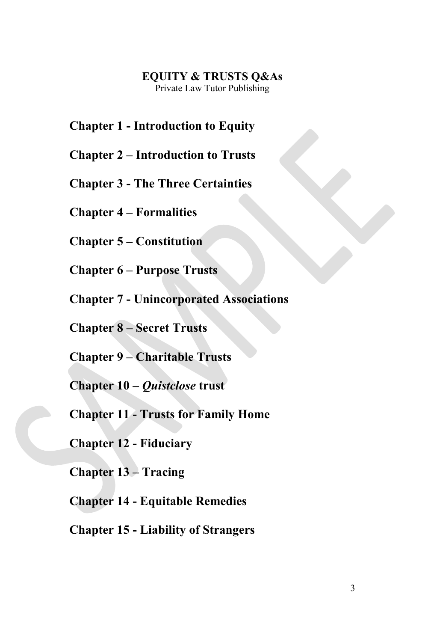#### **EQUITY & TRUSTS Q&As** Private Law Tutor Publishing

**Chapter 1 - Introduction to Equity**

- **Chapter 2 – Introduction to Trusts**
- **Chapter 3 - The Three Certainties**

**Chapter 4 – Formalities**

**Chapter 5 – Constitution**

**Chapter 6 – Purpose Trusts**

**Chapter 7 - Unincorporated Associations**

**Chapter 8 – Secret Trusts**

**Chapter 9 – Charitable Trusts**

**Chapter 10 –** *Quistclose* **trust**

**Chapter 11 - Trusts for Family Home**

**Chapter 12 - Fiduciary**

**Chapter 13 – Tracing**

**Chapter 14 - Equitable Remedies**

**Chapter 15 - Liability of Strangers**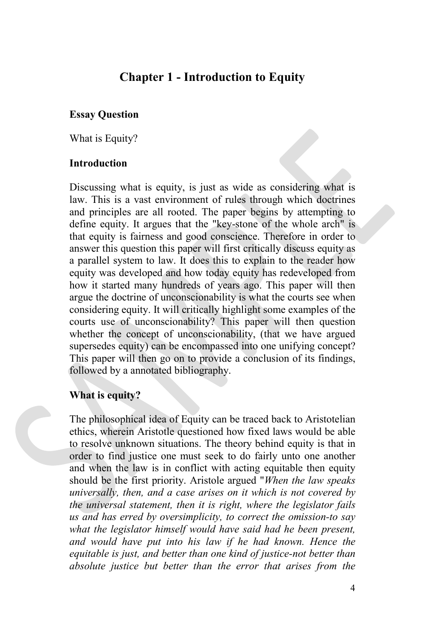# **Chapter 1 - Introduction to Equity**

#### **Essay Question**

What is Equity?

#### **Introduction**

Discussing what is equity, is just as wide as considering what is law. This is a vast environment of rules through which doctrines and principles are all rooted. The paper begins by attempting to define equity. It argues that the "key-stone of the whole arch" is that equity is fairness and good conscience. Therefore in order to answer this question this paper will first critically discuss equity as a parallel system to law. It does this to explain to the reader how equity was developed and how today equity has redeveloped from how it started many hundreds of years ago. This paper will then argue the doctrine of unconscionability is what the courts see when considering equity. It will critically highlight some examples of the courts use of unconscionability? This paper will then question whether the concept of unconscionability, (that we have argued supersedes equity) can be encompassed into one unifying concept? This paper will then go on to provide a conclusion of its findings, followed by a annotated bibliography.

### **What is equity?**

The philosophical idea of Equity can be traced back to Aristotelian ethics, wherein Aristotle questioned how fixed laws would be able to resolve unknown situations. The theory behind equity is that in order to find justice one must seek to do fairly unto one another and when the law is in conflict with acting equitable then equity should be the first priority. Aristole argued "*When the law speaks universally, then, and a case arises on it which is not covered by the universal statement, then it is right, where the legislator fails us and has erred by oversimplicity, to correct the omission-to say what the legislator himself would have said had he been present, and would have put into his law if he had known. Hence the equitable is just, and better than one kind of justice-not better than absolute justice but better than the error that arises from the*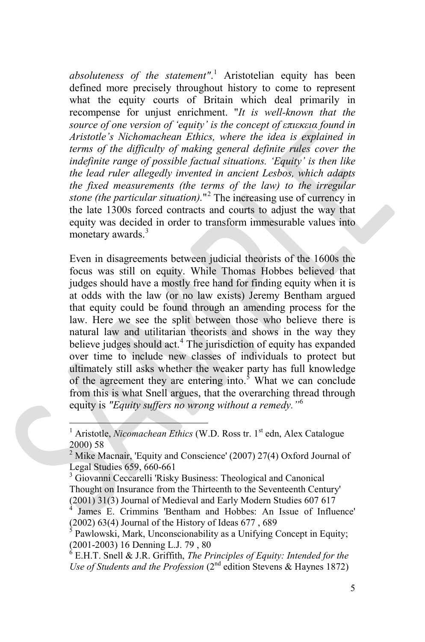*absoluteness of the statement"*. [1](#page-4-0) Aristotelian equity has been defined more precisely throughout history to come to represent what the equity courts of Britain which deal primarily in recompense for unjust enrichment. "*It is well-known that the source of one version of 'equity' is the concept of επιεκεια found in Aristotle's Nichomachean Ethics, where the idea is explained in terms of the difficulty of making general definite rules cover the indefinite range of possible factual situations. 'Equity' is then like the lead ruler allegedly invented in ancient Lesbos, which adapts the fixed measurements (the terms of the law) to the irregular stone (the particular situation).*"[2](#page-4-1) The increasing use of currency in the late 1300s forced contracts and courts to adjust the way that equity was decided in order to transform immesurable values into monetary awards.<sup>[3](#page-4-2)</sup>

Even in disagreements between judicial theorists of the 1600s the focus was still on equity. While Thomas Hobbes believed that judges should have a mostly free hand for finding equity when it is at odds with the law (or no law exists) Jeremy Bentham argued that equity could be found through an amending process for the law. Here we see the split between those who believe there is natural law and utilitarian theorists and shows in the way they believe judges should act.<sup>[4](#page-4-3)</sup> The jurisdiction of equity has expanded over time to include new classes of individuals to protect but ultimately still asks whether the weaker party has full knowledge of the agreement they are entering into.<sup>[5](#page-4-4)</sup> What we can conclude from this is what Snell argues, that the overarching thread through equity is *"Equity suffers no wrong without a remedy."*[6](#page-4-5)

<span id="page-4-2"></span>Thought on Insurance from the Thirteenth to the Seventeenth Century' (2001) 31(3) Journal of Medieval and Early Modern Studies 607 617

<span id="page-4-5"></span>*Use of Students and the Profession* (2<sup>nd</sup> edition Stevens & Haynes 1872)

<span id="page-4-0"></span>Aristotle, *Nicomachean Ethics* (W.D. Ross tr. 1<sup>st</sup> edn, Alex Catalogue 2000) 58

<span id="page-4-1"></span> $2$  Mike Macnair, 'Equity and Conscience' (2007) 27(4) Oxford Journal of Legal Studies 659, 660-661<br><sup>3</sup> Giovanni Ceccarelli 'Risky Business: Theological and Canonical

<span id="page-4-3"></span>James E. Crimmins 'Bentham and Hobbes: An Issue of Influence' (2002) 63(4) Journal of the History of Ideas 677 , 689

<span id="page-4-4"></span>Pawlowski, Mark, Unconscionability as a Unifying Concept in Equity; (2001-2003) 16 Denning L.J. 79, 80<br><sup>6</sup> E.H.T. Snell & J.R. Griffith, *The Principles of Equity: Intended for the*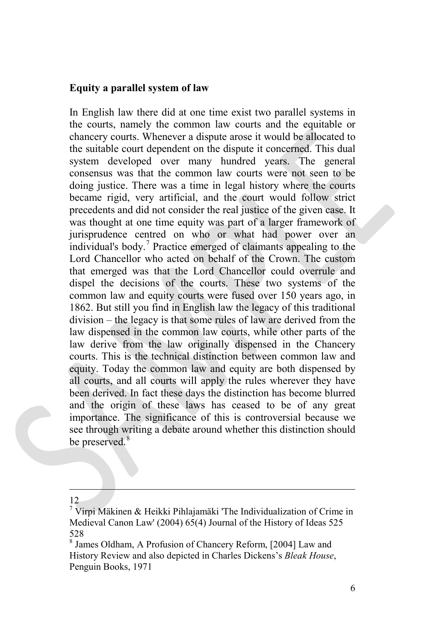#### **Equity a parallel system of law**

In English law there did at one time exist two parallel systems in the courts, namely the common law courts and the equitable or chancery courts. Whenever a dispute arose it would be allocated to the suitable court dependent on the dispute it concerned. This dual system developed over many hundred years. The general consensus was that the common law courts were not seen to be doing justice. There was a time in legal history where the courts became rigid, very artificial, and the court would follow strict precedents and did not consider the real justice of the given case. It was thought at one time equity was part of a larger framework of jurisprudence centred on who or what had power over an individual's body.[7](#page-5-0) Practice emerged of claimants appealing to the Lord Chancellor who acted on behalf of the Crown. The custom that emerged was that the Lord Chancellor could overrule and dispel the decisions of the courts. These two systems of the common law and equity courts were fused over 150 years ago, in 1862. But still you find in English law the legacy of this traditional division – the legacy is that some rules of law are derived from the law dispensed in the common law courts, while other parts of the law derive from the law originally dispensed in the Chancery courts. This is the technical distinction between common law and equity. Today the common law and equity are both dispensed by all courts, and all courts will apply the rules wherever they have been derived. In fact these days the distinction has become blurred and the origin of these laws has ceased to be of any great importance. The significance of this is controversial because we see through writing a debate around whether this distinction should be preserved.<sup>[8](#page-5-1)</sup>

12

<span id="page-5-0"></span><sup>&</sup>lt;sup>7</sup> Virpi Mäkinen & Heikki Pihlajamäki 'The Individualization of Crime in Medieval Canon Law' (2004) 65(4) Journal of the History of Ideas 525 528

<span id="page-5-1"></span><sup>8</sup> James Oldham, A Profusion of Chancery Reform, [2004] Law and History Review and also depicted in Charles Dickens's *Bleak House*, Penguin Books, 1971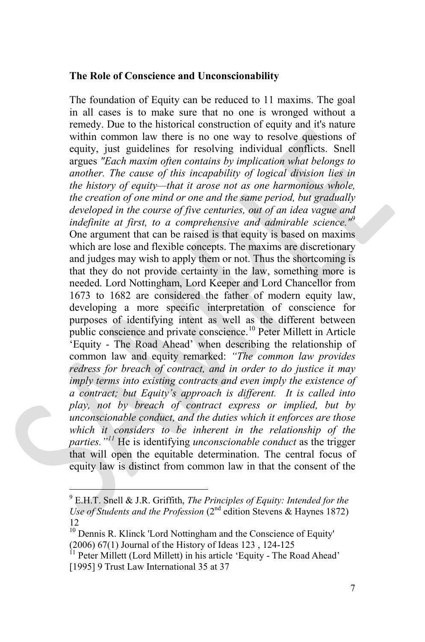#### **The Role of Conscience and Unconscionability**

The foundation of Equity can be reduced to 11 maxims. The goal in all cases is to make sure that no one is wronged without a remedy. Due to the historical construction of equity and it's nature within common law there is no one way to resolve questions of equity, just guidelines for resolving individual conflicts. Snell argues *"Each maxim often contains by implication what belongs to another. The cause of this incapability of logical division lies in the history of equity—that it arose not as one harmonious whole, the creation of one mind or one and the same period, but gradually developed in the course of five centuries, out of an idea vague and indefinite at first, to a comprehensive and admirable science."*[9](#page-6-0) One argument that can be raised is that equity is based on maxims which are lose and flexible concepts. The maxims are discretionary and judges may wish to apply them or not. Thus the shortcoming is that they do not provide certainty in the law, something more is needed. Lord Nottingham, Lord Keeper and Lord Chancellor from 1673 to 1682 are considered the father of modern equity law, developing a more specific interpretation of conscience for purposes of identifying intent as well as the different between public conscience and private conscience.<sup>[10](#page-6-1)</sup> Peter Millett in Article 'Equity - The Road Ahead' when describing the relationship of common law and equity remarked: *"The common law provides redress for breach of contract, and in order to do justice it may imply terms into existing contracts and even imply the existence of a contract; but Equity's approach is different. It is called into play, not by breach of contract express or implied, but by unconscionable conduct, and the duties which it enforces are those which it considers to be inherent in the relationship of the parties."[11](#page-6-2)* He is identifying *unconscionable conduct* as the trigger that will open the equitable determination. The central focus of equity law is distinct from common law in that the consent of the

<span id="page-6-0"></span><sup>9</sup> E.H.T. Snell & J.R. Griffith, *The Principles of Equity: Intended for the Use of Students and the Profession* (2nd edition Stevens & Haynes 1872) 12

<span id="page-6-1"></span><sup>&</sup>lt;sup>10</sup> Dennis R. Klinck 'Lord Nottingham and the Conscience of Equity' (2006) 67(1) Journal of the History of Ideas 123, 124-125<br><sup>11</sup> Peter Millett (Lord Millett) in his article 'Equity - The Road Ahead'

<span id="page-6-2"></span><sup>[1995] 9</sup> Trust Law International 35 at 37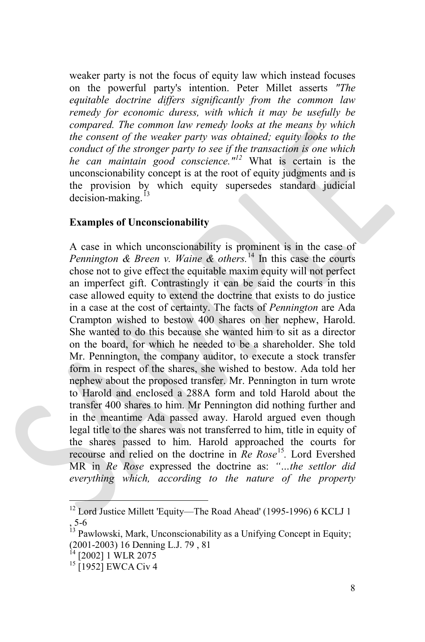weaker party is not the focus of equity law which instead focuses on the powerful party's intention. Peter Millet asserts *"The equitable doctrine differs significantly from the common law remedy for economic duress, with which it may be usefully be compared. The common law remedy looks at the means by which the consent of the weaker party was obtained; equity looks to the conduct of the stronger party to see if the transaction is one which he can maintain good conscience."[12](#page-7-0)* What is certain is the unconscionability concept is at the root of equity judgments and is the provision by which equity supersedes standard judicial  $decision-making.<sup>13</sup>$  $decision-making.<sup>13</sup>$  $decision-making.<sup>13</sup>$ 

#### **Examples of Unconscionability**

A case in which unconscionability is prominent is in the case of *Pennington & Breen v. Waine & others.*[14](#page-7-2) In this case the courts chose not to give effect the equitable maxim equity will not perfect an imperfect gift. Contrastingly it can be said the courts in this case allowed equity to extend the doctrine that exists to do justice in a case at the cost of certainty. The facts of *Pennington* are Ada Crampton wished to bestow 400 shares on her nephew, Harold. She wanted to do this because she wanted him to sit as a director on the board, for which he needed to be a shareholder. She told Mr. Pennington, the company auditor, to execute a stock transfer form in respect of the shares, she wished to bestow. Ada told her nephew about the proposed transfer. Mr. Pennington in turn wrote to Harold and enclosed a 288A form and told Harold about the transfer 400 shares to him. Mr Pennington did nothing further and in the meantime Ada passed away. Harold argued even though legal title to the shares was not transferred to him, title in equity of the shares passed to him. Harold approached the courts for recourse and relied on the doctrine in *Re Rose*[15](#page-7-3)*.* Lord Evershed MR in *Re Rose* expressed the doctrine as: *"…the settlor did everything which, according to the nature of the property* 

<span id="page-7-0"></span><sup>&</sup>lt;sup>12</sup> Lord Justice Millett 'Equity—The Road Ahead' (1995-1996) 6 KCLJ 1

<span id="page-7-1"></span><sup>, 5-6&</sup>lt;br> $13$  Pawlowski, Mark, Unconscionability as a Unifying Concept in Equity; (2001-2003) 16 Denning L.J. 79, 81<br><sup>14</sup> [2002] 1 WLR 2075<br><sup>15</sup> [1952] EWCA Civ 4

<span id="page-7-2"></span>

<span id="page-7-3"></span>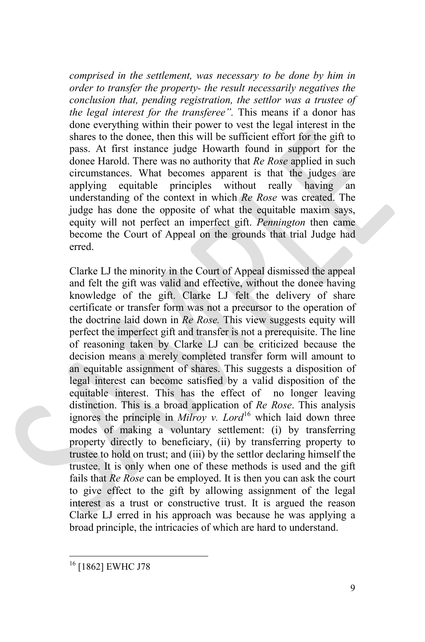*comprised in the settlement, was necessary to be done by him in order to transfer the property- the result necessarily negatives the conclusion that, pending registration, the settlor was a trustee of the legal interest for the transferee".* This means if a donor has done everything within their power to vest the legal interest in the shares to the donee, then this will be sufficient effort for the gift to pass. At first instance judge Howarth found in support for the donee Harold. There was no authority that *Re Rose* applied in such circumstances. What becomes apparent is that the judges are applying equitable principles without really having an understanding of the context in which *Re Rose* was created. The judge has done the opposite of what the equitable maxim says, equity will not perfect an imperfect gift. *Pennington* then came become the Court of Appeal on the grounds that trial Judge had erred.

Clarke LJ the minority in the Court of Appeal dismissed the appeal and felt the gift was valid and effective, without the donee having knowledge of the gift. Clarke LJ felt the delivery of share certificate or transfer form was not a precursor to the operation of the doctrine laid down in *Re Rose.* This view suggests equity will perfect the imperfect gift and transfer is not a prerequisite. The line of reasoning taken by Clarke LJ can be criticized because the decision means a merely completed transfer form will amount to an equitable assignment of shares. This suggests a disposition of legal interest can become satisfied by a valid disposition of the equitable interest. This has the effect of no longer leaving distinction. This is a broad application of *Re Rose*. This analysis ignores the principle in *Milroy v. Lord*<sup>[16](#page-8-0)</sup> which laid down three modes of making a voluntary settlement: (i) by transferring property directly to beneficiary, (ii) by transferring property to trustee to hold on trust; and (iii) by the settlor declaring himself the trustee. It is only when one of these methods is used and the gift fails that *Re Rose* can be employed. It is then you can ask the court to give effect to the gift by allowing assignment of the legal interest as a trust or constructive trust. It is argued the reason Clarke LJ erred in his approach was because he was applying a broad principle, the intricacies of which are hard to understand.

<span id="page-8-0"></span><sup>16</sup> [1862] EWHC J78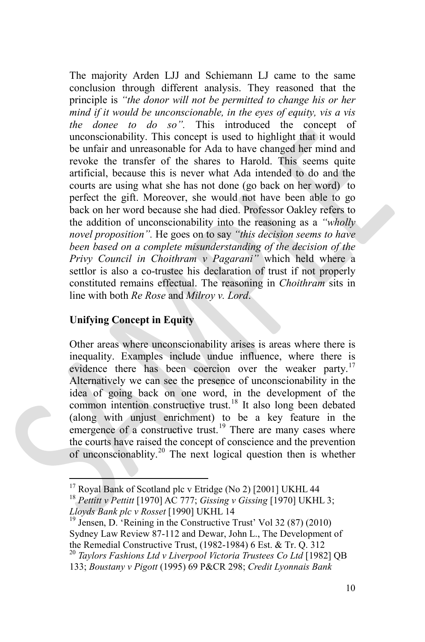The majority Arden LJJ and Schiemann LJ came to the same conclusion through different analysis. They reasoned that the principle is *"the donor will not be permitted to change his or her mind if it would be unconscionable, in the eyes of equity, vis a vis the donee to do so".* This introduced the concept of unconscionability. This concept is used to highlight that it would be unfair and unreasonable for Ada to have changed her mind and revoke the transfer of the shares to Harold. This seems quite artificial, because this is never what Ada intended to do and the courts are using what she has not done (go back on her word) to perfect the gift. Moreover, she would not have been able to go back on her word because she had died. Professor Oakley refers to the addition of unconscionability into the reasoning as a *"wholly novel proposition".* He goes on to say *"this decision seems to have been based on a complete misunderstanding of the decision of the Privy Council in Choithram v Pagarani"* which held where a settlor is also a co-trustee his declaration of trust if not properly constituted remains effectual. The reasoning in *Choithram* sits in line with both *Re Rose* and *Milroy v. Lord*.

#### **Unifying Concept in Equity**

Other areas where unconscionability arises is areas where there is inequality. Examples include undue influence, where there is evidence there has been coercion over the weaker party.<sup>[17](#page-9-0)</sup> Alternatively we can see the presence of unconscionability in the idea of going back on one word, in the development of the common intention constructive trust.<sup>[18](#page-9-1)</sup> It also long been debated (along with unjust enrichment) to be a key feature in the emergence of a constructive trust.<sup>[19](#page-9-2)</sup> There are many cases where the courts have raised the concept of conscience and the prevention of unconscionablity.<sup>[20](#page-9-3)</sup> The next logical question then is whether

<span id="page-9-2"></span>Sydney Law Review 87-112 and Dewar, John L., The Development of the Remedial Constructive Trust, (1982-1984) 6 Est. & Tr. Q. 312<br><sup>20</sup> *Taylors Fashions Ltd v Liverpool Victoria Trustees Co Ltd* [1982] QB

<span id="page-9-0"></span><sup>&</sup>lt;sup>17</sup> Royal Bank of Scotland plc v Etridge (No 2) [2001] UKHL 44<br><sup>18</sup> *Pettitt v Pettitt* [1970] AC 777; *Gissing v Gissing* [1970] UKHL 3;

<span id="page-9-1"></span>*Lloyds Bank plc v Rosset* [1990] UKHL 14<br><sup>19</sup> Jensen, D. 'Reining in the Constructive Trust' Vol 32 (87) (2010)

<span id="page-9-3"></span><sup>133;</sup> *Boustany v Pigott* (1995) 69 P&CR 298; *Credit Lyonnais Bank*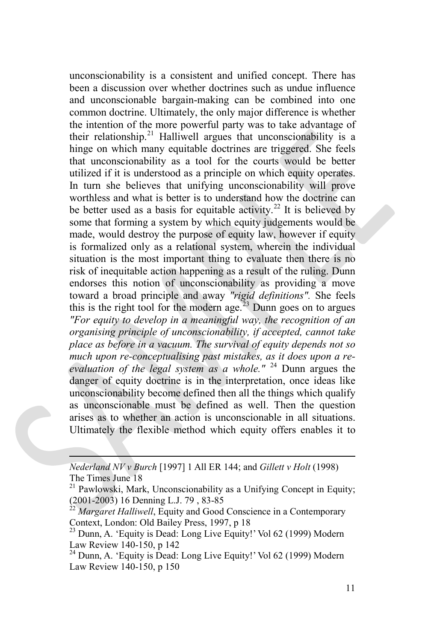unconscionability is a consistent and unified concept. There has been a discussion over whether doctrines such as undue influence and unconscionable bargain-making can be combined into one common doctrine. Ultimately, the only major difference is whether the intention of the more powerful party was to take advantage of their relationship.<sup>[21](#page-10-0)</sup> Halliwell argues that unconscionability is a hinge on which many equitable doctrines are triggered. She feels that unconscionability as a tool for the courts would be better utilized if it is understood as a principle on which equity operates. In turn she believes that unifying unconscionability will prove worthless and what is better is to understand how the doctrine can be better used as a basis for equitable activity.<sup>[22](#page-10-1)</sup> It is believed by some that forming a system by which equity judgements would be made, would destroy the purpose of equity law, however if equity is formalized only as a relational system, wherein the individual situation is the most important thing to evaluate then there is no risk of inequitable action happening as a result of the ruling. Dunn endorses this notion of unconscionability as providing a move toward a broad principle and away *"rigid definitions".* She feels this is the right tool for the modern age.<sup>[23](#page-10-2)</sup> Dunn goes on to argues *"For equity to develop in a meaningful way, the recognition of an organising principle of unconscionability, if accepted, cannot take place as before in a vacuum. The survival of equity depends not so much upon re-conceptualising past mistakes, as it does upon a reevaluation of the legal system as a whole."* [24](#page-10-3) Dunn argues the danger of equity doctrine is in the interpretation, once ideas like unconscionability become defined then all the things which qualify as unconscionable must be defined as well. Then the question arises as to whether an action is unconscionable in all situations. Ultimately the flexible method which equity offers enables it to

 *Nederland NV v Burch* [1997] 1 All ER 144; and *Gillett v Holt* (1998) The Times June 18

<span id="page-10-3"></span>Law Review 140-150, p 150

<span id="page-10-0"></span> $21$  Pawlowski, Mark, Unconscionability as a Unifying Concept in Equity; (2001-2003) 16 Denning L.J. 79 , 83-85 <sup>22</sup> *Margaret Halliwell*, Equity and Good Conscience in a Contemporary

<span id="page-10-1"></span>Context, London: Old Bailey Press, 1997, p 18<br><sup>23</sup> Dunn, A. 'Equity is Dead: Long Live Equity!' Vol 62 (1999) Modern

<span id="page-10-2"></span>Law Review 140-150, p 142<br><sup>24</sup> Dunn, A. 'Equity is Dead: Long Live Equity!' Vol 62 (1999) Modern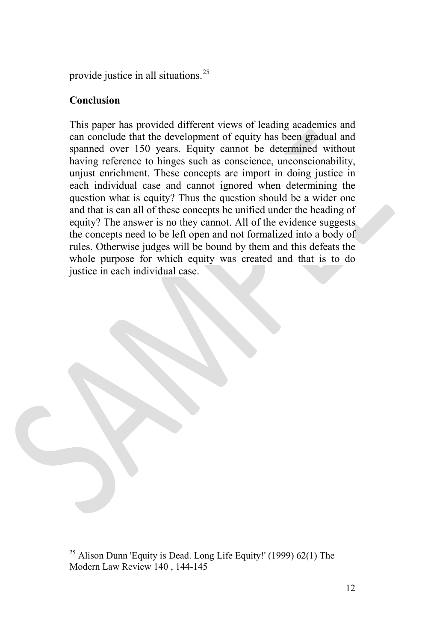provide justice in all situations.[25](#page-11-0)

## **Conclusion**

This paper has provided different views of leading academics and can conclude that the development of equity has been gradual and spanned over 150 years. Equity cannot be determined without having reference to hinges such as conscience, unconscionability, unjust enrichment. These concepts are import in doing justice in each individual case and cannot ignored when determining the question what is equity? Thus the question should be a wider one and that is can all of these concepts be unified under the heading of equity? The answer is no they cannot. All of the evidence suggests the concepts need to be left open and not formalized into a body of rules. Otherwise judges will be bound by them and this defeats the whole purpose for which equity was created and that is to do justice in each individual case.

<span id="page-11-0"></span><sup>&</sup>lt;sup>25</sup> Alison Dunn 'Equity is Dead. Long Life Equity!' (1999) 62(1) The Modern Law Review 140 , 144-145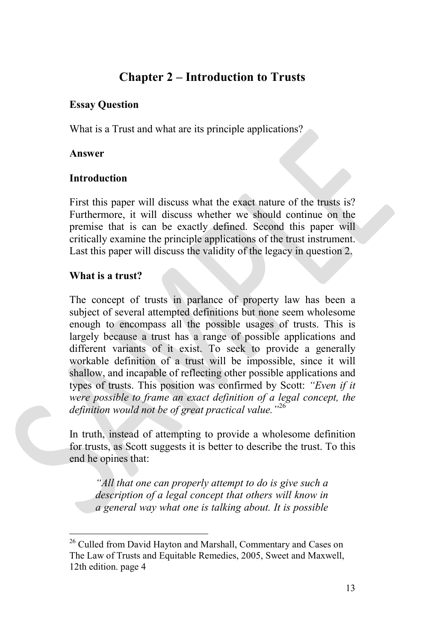# **Chapter 2 – Introduction to Trusts**

## **Essay Question**

What is a Trust and what are its principle applications?

#### **Answer**

### **Introduction**

First this paper will discuss what the exact nature of the trusts is? Furthermore, it will discuss whether we should continue on the premise that is can be exactly defined. Second this paper will critically examine the principle applications of the trust instrument. Last this paper will discuss the validity of the legacy in question 2.

### **What is a trust?**

The concept of trusts in parlance of property law has been a subject of several attempted definitions but none seem wholesome enough to encompass all the possible usages of trusts. This is largely because a trust has a range of possible applications and different variants of it exist. To seek to provide a generally workable definition of a trust will be impossible, since it will shallow, and incapable of reflecting other possible applications and types of trusts. This position was confirmed by Scott: *"Even if it were possible to frame an exact definition of a legal concept, the definition would not be of great practical value."*[26](#page-12-0)

In truth, instead of attempting to provide a wholesome definition for trusts, as Scott suggests it is better to describe the trust. To this end he opines that:

*"All that one can properly attempt to do is give such a description of a legal concept that others will know in a general way what one is talking about. It is possible* 

<span id="page-12-0"></span><sup>&</sup>lt;sup>26</sup> Culled from David Hayton and Marshall, Commentary and Cases on The Law of Trusts and Equitable Remedies, 2005, Sweet and Maxwell, 12th edition. page 4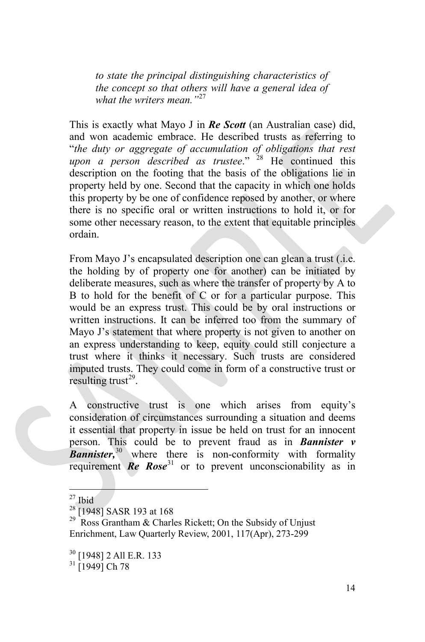*to state the principal distinguishing characteristics of the concept so that others will have a general idea of what the writers mean."*[27](#page-13-0)

This is exactly what Mayo J in *Re Scott* (an Australian case) did, and won academic embrace. He described trusts as referring to "*the duty or aggregate of accumulation of obligations that rest upon a person described as trustee*." [28](#page-13-1) He continued this description on the footing that the basis of the obligations lie in property held by one. Second that the capacity in which one holds this property by be one of confidence reposed by another, or where there is no specific oral or written instructions to hold it, or for some other necessary reason, to the extent that equitable principles ordain.

From Mayo J's encapsulated description one can glean a trust (.i.e. the holding by of property one for another) can be initiated by deliberate measures, such as where the transfer of property by A to B to hold for the benefit of C or for a particular purpose. This would be an express trust. This could be by oral instructions or written instructions. It can be inferred too from the summary of Mayo J's statement that where property is not given to another on an express understanding to keep, equity could still conjecture a trust where it thinks it necessary. Such trusts are considered imputed trusts. They could come in form of a constructive trust or resulting trust<sup>[29](#page-13-2)</sup>.

A constructive trust is one which arises from equity's consideration of circumstances surrounding a situation and deems it essential that property in issue be held on trust for an innocent person. This could be to prevent fraud as in *Bannister v*  **Bannister**,<sup>[30](#page-13-3)</sup> where there is non-conformity with formality requirement *Re* **Rose**<sup>[31](#page-13-4)</sup> or to prevent unconscionability as in

<span id="page-13-2"></span><span id="page-13-1"></span>

<span id="page-13-0"></span><sup>&</sup>lt;sup>27</sup> Ibid<br><sup>28</sup> [1948] SASR 193 at 168<br><sup>29</sup> Ross Grantham & Charles Rickett; On the Subsidy of Unjust Enrichment, Law Quarterly Review, 2001, 117(Apr), 273-299

<span id="page-13-3"></span> $\frac{30}{31}$  [1948] 2 All E.R. 133<br> $\frac{31}{19491}$  Ch 78

<span id="page-13-4"></span>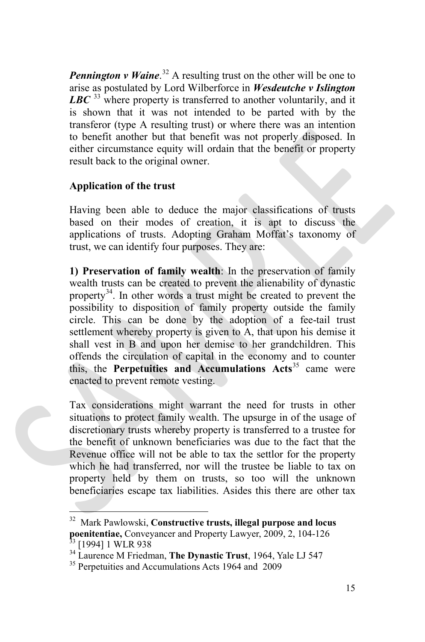**Pennington v Waine**.<sup>[32](#page-14-0)</sup> A resulting trust on the other will be one to arise as postulated by Lord Wilberforce in *Wesdeutche v Islington*  LBC<sup>[33](#page-14-1)</sup> where property is transferred to another voluntarily, and it is shown that it was not intended to be parted with by the transferor (type A resulting trust) or where there was an intention to benefit another but that benefit was not properly disposed. In either circumstance equity will ordain that the benefit or property result back to the original owner.

# **Application of the trust**

Having been able to deduce the major classifications of trusts based on their modes of creation, it is apt to discuss the applications of trusts. Adopting Graham Moffat's taxonomy of trust, we can identify four purposes. They are:

**1) Preservation of family wealth**: In the preservation of family wealth trusts can be created to prevent the alienability of dynastic property<sup>34</sup>. In other words a trust might be created to prevent the possibility to disposition of family property outside the family circle. This can be done by the adoption of a fee-tail trust settlement whereby property is given to A, that upon his demise it shall vest in B and upon her demise to her grandchildren. This offends the circulation of capital in the economy and to counter this, the **Perpetuities and Accumulations Acts**<sup>[35](#page-14-3)</sup> came were enacted to prevent remote vesting.

Tax considerations might warrant the need for trusts in other situations to protect family wealth. The upsurge in of the usage of discretionary trusts whereby property is transferred to a trustee for the benefit of unknown beneficiaries was due to the fact that the Revenue office will not be able to tax the settlor for the property which he had transferred, nor will the trustee be liable to tax on property held by them on trusts, so too will the unknown beneficiaries escape tax liabilities. Asides this there are other tax

<span id="page-14-0"></span>32 Mark Pawlowski, **Constructive trusts, illegal purpose and locus poenitentiae, Conveyancer and Property Lawyer, 2009, 2, 104-126**<br><sup>33</sup> [1994] 1 WLR 938<br><sup>34</sup> Laurence M Friedman, **The Dynastic Trust**, 1964, Yale LJ 547<br><sup>35</sup> Perpetuities and Accumulations Acts 1964 and 2009

<span id="page-14-2"></span><span id="page-14-1"></span>

<span id="page-14-3"></span>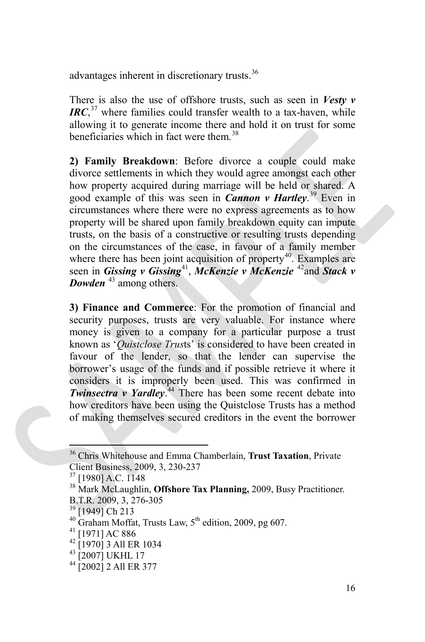advantages inherent in discretionary trusts.<sup>[36](#page-15-0)</sup>

There is also the use of offshore trusts, such as seen in *Vesty v IRC*, [37](#page-15-1) where families could transfer wealth to a tax-haven, while allowing it to generate income there and hold it on trust for some beneficiaries which in fact were them.[38](#page-15-2)

**2) Family Breakdown**: Before divorce a couple could make divorce settlements in which they would agree amongst each other how property acquired during marriage will be held or shared. A good example of this was seen in *Cannon v Hartley*. [39](#page-15-3) Even in circumstances where there were no express agreements as to how property will be shared upon family breakdown equity can impute trusts, on the basis of a constructive or resulting trusts depending on the circumstances of the case, in favour of a family member where there has been joint acquisition of property<sup>[40](#page-15-4)</sup>. Examples are seen in *Gissing v Gissing*<sup>[41](#page-15-5)</sup>, *McKenzie v McKenzie* <sup>[42](#page-15-6)</sup>and *Stack v Dowden* <sup>[43](#page-15-7)</sup> among others.

**3) Finance and Commerce**: For the promotion of financial and security purposes, trusts are very valuable. For instance where money is given to a company for a particular purpose a trust known as '*Quistclose Trus*ts' is considered to have been created in favour of the lender, so that the lender can supervise the borrower's usage of the funds and if possible retrieve it where it considers it is improperly been used. This was confirmed in *Twinsectra v Yardley*. [44](#page-15-8) There has been some recent debate into how creditors have been using the Quistclose Trusts has a method of making themselves secured creditors in the event the borrower

<span id="page-15-0"></span><sup>36</sup> Chris Whitehouse and Emma Chamberlain, **Trust Taxation**, Private

<span id="page-15-1"></span>Client Business, 2009, 3, 230-237<br><sup>37</sup> [1980] A.C. 1148<br><sup>38</sup> Mark McLaughlin, **Offshore Tax Planning**, 2009, Busy Practitioner.

<span id="page-15-4"></span>

<span id="page-15-3"></span><span id="page-15-2"></span>B.T.R. 2009, 3, 276-305<br><sup>39</sup> [1949] Ch 213<br><sup>40</sup> Graham Moffat, Trusts Law, 5<sup>th</sup> edition, 2009, pg 607.<br><sup>41</sup> [1971] AC 886<br><sup>42</sup> [1970] 3 All ER 1034<br><sup>43</sup> [2007] UKHL 17<br><sup>44</sup> [2002] 2 All ER 377

<span id="page-15-5"></span>

<span id="page-15-6"></span>

<span id="page-15-7"></span>

<span id="page-15-8"></span>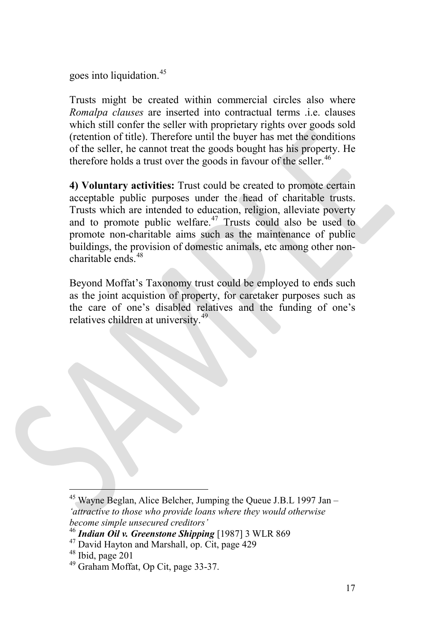goes into liquidation.<sup>[45](#page-16-0)</sup>

Trusts might be created within commercial circles also where *Romalpa clauses* are inserted into contractual terms .i.e. clauses which still confer the seller with proprietary rights over goods sold (retention of title). Therefore until the buyer has met the conditions of the seller, he cannot treat the goods bought has his property. He therefore holds a trust over the goods in favour of the seller.<sup>[46](#page-16-1)</sup>

**4) Voluntary activities:** Trust could be created to promote certain acceptable public purposes under the head of charitable trusts. Trusts which are intended to education, religion, alleviate poverty and to promote public welfare.<sup>[47](#page-16-2)</sup> Trusts could also be used to promote non-charitable aims such as the maintenance of public buildings, the provision of domestic animals, etc among other non $charitable ends$ <sup>[48](#page-16-3)</sup>

Beyond Moffat's Taxonomy trust could be employed to ends such as the joint acquistion of property, for caretaker purposes such as the care of one's disabled relatives and the funding of one's relatives children at university.<sup>[49](#page-16-4)</sup>

<span id="page-16-0"></span> $45$  Wayne Beglan, Alice Belcher, Jumping the Queue J.B.L 1997 Jan – *'attractive to those who provide loans where they would otherwise become simple unsecured creditors'*

<span id="page-16-1"></span><sup>&</sup>lt;sup>46</sup> *Indian Oil v. Greenstone Shipping* [1987] 3 WLR 869<br><sup>47</sup> David Hayton and Marshall, op. Cit, page 429<br><sup>48</sup> Ibid, page 201<br><sup>49</sup> Graham Moffat. Op Cit, page 33-37.

<span id="page-16-2"></span>

<span id="page-16-3"></span>

<span id="page-16-4"></span>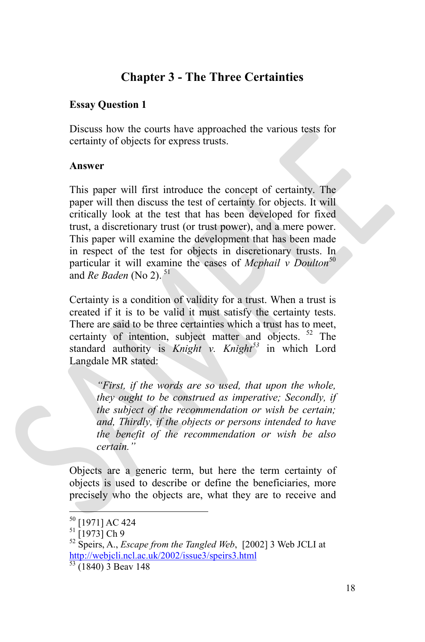# **Chapter 3 - The Three Certainties**

## **Essay Question 1**

Discuss how the courts have approached the various tests for certainty of objects for express trusts.

#### **Answer**

This paper will first introduce the concept of certainty. The paper will then discuss the test of certainty for objects. It will critically look at the test that has been developed for fixed trust, a discretionary trust (or trust power), and a mere power. This paper will examine the development that has been made in respect of the test for objects in discretionary trusts. In particular it will examine the cases of *Mcphail v Doulton*<sup>[50](#page-17-0)</sup> and *Re Baden* (No 2).<sup>[51](#page-17-1)</sup>

Certainty is a condition of validity for a trust. When a trust is created if it is to be valid it must satisfy the certainty tests. There are said to be three certainties which a trust has to meet, certainty of intention, subject matter and objects. <sup>[52](#page-17-2)</sup> The standard authority is *Knight v. Knight[53](#page-17-3)* in which Lord Langdale MR stated:

*"First, if the words are so used, that upon the whole, they ought to be construed as imperative; Secondly, if the subject of the recommendation or wish be certain; and, Thirdly, if the objects or persons intended to have the benefit of the recommendation or wish be also certain."*

Objects are a generic term, but here the term certainty of objects is used to describe or define the beneficiaries, more precisely who the objects are, what they are to receive and

<span id="page-17-2"></span>

<span id="page-17-1"></span><span id="page-17-0"></span><sup>&</sup>lt;sup>50</sup> [1971] AC 424<br><sup>51</sup> [1973] Ch 9<br><sup>52</sup> Speirs, A., *Escape from the Tangled Web*, [2002] 3 Web JCLI at <http://webjcli.ncl.ac.uk/2002/issue3/speirs3.html>

<span id="page-17-3"></span> $53$  (1840) 3 Beav 148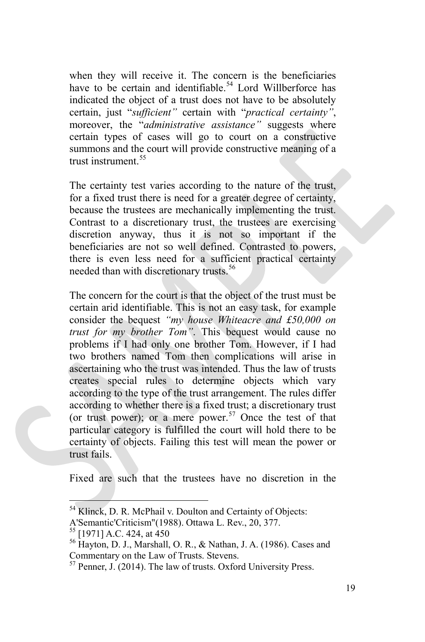when they will receive it. The concern is the beneficiaries have to be certain and identifiable.<sup>[54](#page-18-0)</sup> Lord Willberforce has indicated the object of a trust does not have to be absolutely certain, just "*sufficient"* certain with "*practical certainty"*, moreover, the "*administrative assistance"* suggests where certain types of cases will go to court on a constructive summons and the court will provide constructive meaning of a trust instrument. $55$ 

The certainty test varies according to the nature of the trust, for a fixed trust there is need for a greater degree of certainty, because the trustees are mechanically implementing the trust. Contrast to a discretionary trust, the trustees are exercising discretion anyway, thus it is not so important if the beneficiaries are not so well defined. Contrasted to powers, there is even less need for a sufficient practical certainty needed than with discretionary trusts.<sup>[56](#page-18-2)</sup>

The concern for the court is that the object of the trust must be certain arid identifiable. This is not an easy task, for example consider the bequest *"my house Whiteacre and £50,000 on trust for my brother Tom"*. This bequest would cause no problems if I had only one brother Tom. However, if I had two brothers named Tom then complications will arise in ascertaining who the trust was intended. Thus the law of trusts creates special rules to determine objects which vary according to the type of the trust arrangement. The rules differ according to whether there is a fixed trust; a discretionary trust (or trust power); or a mere power.<sup>[57](#page-18-3)</sup> Once the test of that particular category is fulfilled the court will hold there to be certainty of objects. Failing this test will mean the power or trust fails.

Fixed are such that the trustees have no discretion in the

<span id="page-18-0"></span><sup>&</sup>lt;sup>54</sup> Klinck, D. R. McPhail v. Doulton and Certainty of Objects:

<span id="page-18-1"></span>A'Semantic'Criticism"(1988). Ottawa L. Rev., 20, 377.

<span id="page-18-2"></span><sup>&</sup>lt;sup>56</sup> Havton, D. J., Marshall, O. R., & Nathan, J. A. (1986). Cases and Commentary on the Law of Trusts. Stevens.

<span id="page-18-3"></span><sup>57</sup> Penner, J. (2014). The law of trusts. Oxford University Press.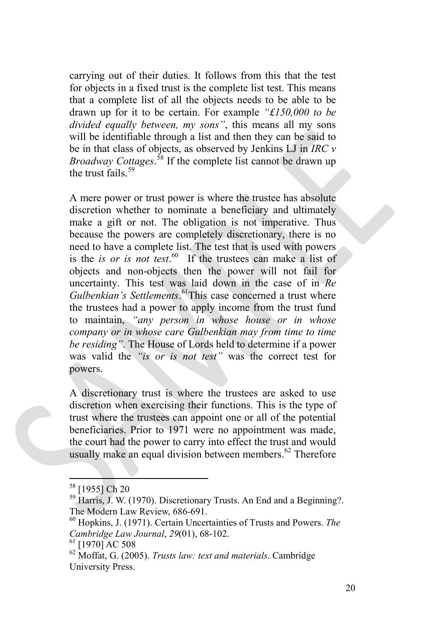carrying out of their duties. It follows from this that the test for objects in a fixed trust is the complete list test. This means that a complete list of all the objects needs to be able to be drawn up for it to be certain. For example *"£150,000 to be divided equally between, my sons"*, this means all my sons will be identifiable through a list and then they can be said to be in that class of objects, as observed by Jenkins LJ in *IRC v Broadway Cottages*. [58](#page-19-0) If the complete list cannot be drawn up the trust fails.<sup>[59](#page-19-1)</sup>

A mere power or trust power is where the trustee has absolute discretion whether to nominate a beneficiary and ultimately make a gift or not. The obligation is not imperative. Thus because the powers are completely discretionary, there is no need to have a complete list. The test that is used with powers is the *is or is not test*. [60](#page-19-2) If the trustees can make a list of objects and non-objects then the power will not fail for uncertainty. This test was laid down in the case of in *Re*  Gulbenkian's Settlements.<sup>[61](#page-19-3)</sup>This case concerned a trust where the trustees had a power to apply income from the trust fund to maintain, *"any person in whose house or in whose company or in whose care Gulbenkian may from time to time be residing"*. The House of Lords held to determine if a power was valid the *"is or is not test"* was the correct test for powers.

A discretionary trust is where the trustees are asked to use discretion when exercising their functions. This is the type of trust where the trustees can appoint one or all of the potential beneficiaries. Prior to 1971 were no appointment was made, the court had the power to carry into effect the trust and would usually make an equal division between members.<sup>[62](#page-19-4)</sup> Therefore

<span id="page-19-1"></span><span id="page-19-0"></span> $^{58}$  [1955] Ch 20<br><sup>59</sup> Harris, J. W. (1970). Discretionary Trusts. An End and a Beginning?. The Modern Law Review, 686-691.<br><sup>60</sup> Hopkins, J. (1971). Certain Uncertainties of Trusts and Powers. *The* 

<span id="page-19-2"></span>*Cambridge Law Journal, 29*(01), 68-102.<br><sup>61</sup> [1970] AC 508<br><sup>62</sup> Moffat, G. (2005). *Trusts law: text and materials*. Cambridge

<span id="page-19-4"></span><span id="page-19-3"></span>University Press.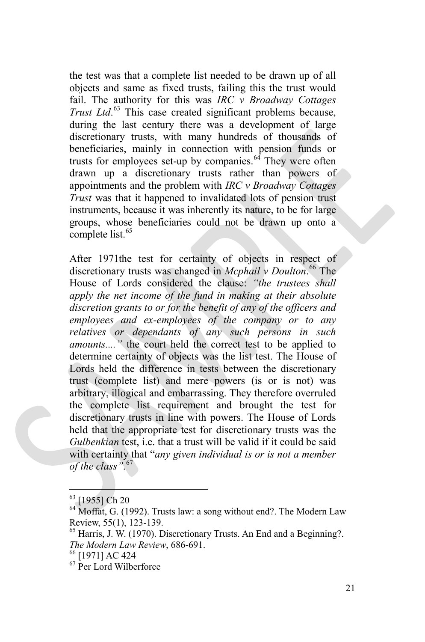the test was that a complete list needed to be drawn up of all objects and same as fixed trusts, failing this the trust would fail. The authority for this was *IRC v Broadway Cottages Trust Ltd*. [63](#page-20-0) This case created significant problems because, during the last century there was a development of large discretionary trusts, with many hundreds of thousands of beneficiaries, mainly in connection with pension funds or trusts for employees set-up by companies.  $64$  They were often drawn up a discretionary trusts rather than powers of appointments and the problem with *IRC v Broadway Cottages Trust* was that it happened to invalidated lots of pension trust instruments, because it was inherently its nature, to be for large groups, whose beneficiaries could not be drawn up onto a complete list.<sup>[65](#page-20-2)</sup>

After 1971the test for certainty of objects in respect of discretionary trusts was changed in *Mcphail v Doulton*. [66](#page-20-3) The House of Lords considered the clause: *"the trustees shall apply the net income of the fund in making at their absolute discretion grants to or for the benefit of any of the officers and employees and ex-employees of the company or to any relatives or dependants of any such persons in such amounts....*" the court held the correct test to be applied to determine certainty of objects was the list test. The House of Lords held the difference in tests between the discretionary trust (complete list) and mere powers (is or is not) was arbitrary, illogical and embarrassing. They therefore overruled the complete list requirement and brought the test for discretionary trusts in line with powers. The House of Lords held that the appropriate test for discretionary trusts was the *Gulbenkian* test, i.e. that a trust will be valid if it could be said with certainty that "*any given individual is or is not a member of the class"*. [67](#page-20-4)

<span id="page-20-1"></span><span id="page-20-0"></span> $<sup>63</sup>$  [1955] Ch 20<br> $<sup>64</sup>$  Moffat, G. (1992). Trusts law: a song without end?. The Modern Law<br>Review, 55(1), 123-139.</sup></sup>

<span id="page-20-2"></span> $65$  Harris, J. W. (1970). Discretionary Trusts. An End and a Beginning?. *The Modern Law Review*, 686-691.<br><sup>66</sup> [1971] AC 424<br><sup>67</sup> Per Lord Wilberforce

<span id="page-20-3"></span>

<span id="page-20-4"></span>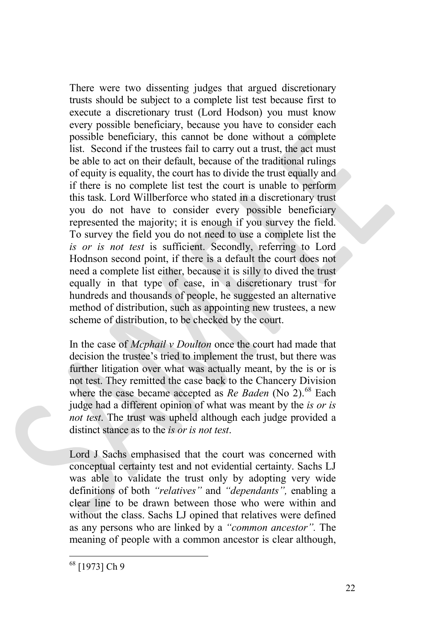There were two dissenting judges that argued discretionary trusts should be subject to a complete list test because first to execute a discretionary trust (Lord Hodson) you must know every possible beneficiary, because you have to consider each possible beneficiary, this cannot be done without a complete list. Second if the trustees fail to carry out a trust, the act must be able to act on their default, because of the traditional rulings of equity is equality, the court has to divide the trust equally and if there is no complete list test the court is unable to perform this task. Lord Willberforce who stated in a discretionary trust you do not have to consider every possible beneficiary represented the majority; it is enough if you survey the field. To survey the field you do not need to use a complete list the *is or is not test* is sufficient. Secondly, referring to Lord Hodnson second point, if there is a default the court does not need a complete list either, because it is silly to dived the trust equally in that type of case, in a discretionary trust for hundreds and thousands of people, he suggested an alternative method of distribution, such as appointing new trustees, a new scheme of distribution, to be checked by the court.

In the case of *Mcphail v Doulton* once the court had made that decision the trustee's tried to implement the trust, but there was further litigation over what was actually meant, by the is or is not test. They remitted the case back to the Chancery Division where the case became accepted as *Re Baden* (No 2).<sup>[68](#page-21-0)</sup> Each judge had a different opinion of what was meant by the *is or is not test*. The trust was upheld although each judge provided a distinct stance as to the *is or is not test*.

Lord J Sachs emphasised that the court was concerned with conceptual certainty test and not evidential certainty. Sachs LJ was able to validate the trust only by adopting very wide definitions of both *"relatives"* and *"dependants",* enabling a clear line to be drawn between those who were within and without the class. Sachs LJ opined that relatives were defined as any persons who are linked by a *"common ancestor".* The meaning of people with a common ancestor is clear although,

<span id="page-21-0"></span><sup>68</sup> [1973] Ch 9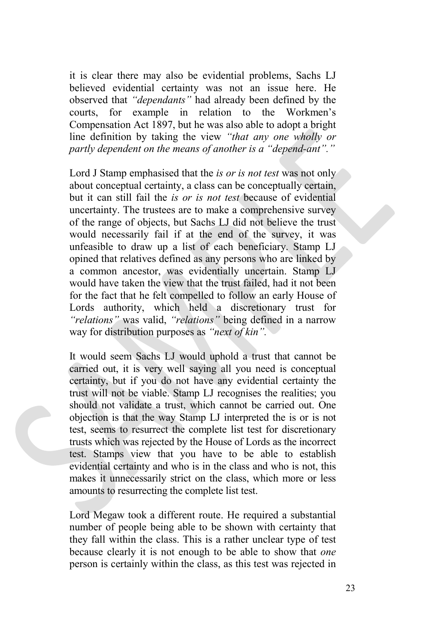it is clear there may also be evidential problems, Sachs LJ believed evidential certainty was not an issue here. He observed that *"dependants"* had already been defined by the courts, for example in relation to the Workmen's Compensation Act 1897, but he was also able to adopt a bright line definition by taking the view *"that any one wholly or partly dependent on the means of another is a "depend-ant"."* 

Lord J Stamp emphasised that the *is or is not test* was not only about conceptual certainty, a class can be conceptually certain, but it can still fail the *is or is not test* because of evidential uncertainty. The trustees are to make a comprehensive survey of the range of objects, but Sachs LJ did not believe the trust would necessarily fail if at the end of the survey, it was unfeasible to draw up a list of each beneficiary. Stamp LJ opined that relatives defined as any persons who are linked by a common ancestor, was evidentially uncertain. Stamp LJ would have taken the view that the trust failed, had it not been for the fact that he felt compelled to follow an early House of Lords authority, which held a discretionary trust for *"relations"* was valid, *"relations"* being defined in a narrow way for distribution purposes as *"next of kin".* 

It would seem Sachs LJ would uphold a trust that cannot be carried out, it is very well saying all you need is conceptual certainty, but if you do not have any evidential certainty the trust will not be viable. Stamp LJ recognises the realities; you should not validate a trust, which cannot be carried out. One objection is that the way Stamp LJ interpreted the is or is not test, seems to resurrect the complete list test for discretionary trusts which was rejected by the House of Lords as the incorrect test. Stamps view that you have to be able to establish evidential certainty and who is in the class and who is not, this makes it unnecessarily strict on the class, which more or less amounts to resurrecting the complete list test.

Lord Megaw took a different route. He required a substantial number of people being able to be shown with certainty that they fall within the class. This is a rather unclear type of test because clearly it is not enough to be able to show that *one*  person is certainly within the class, as this test was rejected in